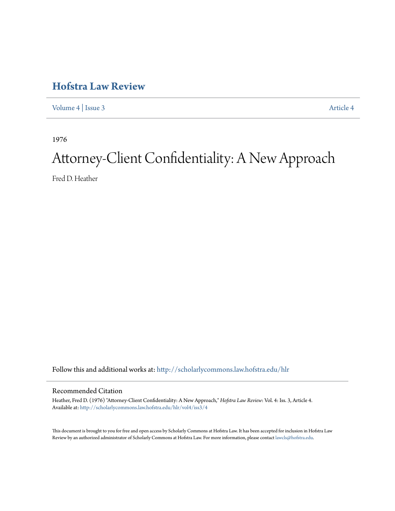# **[Hofstra Law Review](http://scholarlycommons.law.hofstra.edu/hlr?utm_source=scholarlycommons.law.hofstra.edu%2Fhlr%2Fvol4%2Fiss3%2F4&utm_medium=PDF&utm_campaign=PDFCoverPages)**

[Volume 4](http://scholarlycommons.law.hofstra.edu/hlr/vol4?utm_source=scholarlycommons.law.hofstra.edu%2Fhlr%2Fvol4%2Fiss3%2F4&utm_medium=PDF&utm_campaign=PDFCoverPages) | [Issue 3](http://scholarlycommons.law.hofstra.edu/hlr/vol4/iss3?utm_source=scholarlycommons.law.hofstra.edu%2Fhlr%2Fvol4%2Fiss3%2F4&utm_medium=PDF&utm_campaign=PDFCoverPages) [Article 4](http://scholarlycommons.law.hofstra.edu/hlr/vol4/iss3/4?utm_source=scholarlycommons.law.hofstra.edu%2Fhlr%2Fvol4%2Fiss3%2F4&utm_medium=PDF&utm_campaign=PDFCoverPages)

1976

# Attorney-Client Confidentiality: A New Approach

Fred D. Heather

Follow this and additional works at: [http://scholarlycommons.law.hofstra.edu/hlr](http://scholarlycommons.law.hofstra.edu/hlr?utm_source=scholarlycommons.law.hofstra.edu%2Fhlr%2Fvol4%2Fiss3%2F4&utm_medium=PDF&utm_campaign=PDFCoverPages)

### Recommended Citation

Heather, Fred D. (1976) "Attorney-Client Confidentiality: A New Approach," *Hofstra Law Review*: Vol. 4: Iss. 3, Article 4. Available at: [http://scholarlycommons.law.hofstra.edu/hlr/vol4/iss3/4](http://scholarlycommons.law.hofstra.edu/hlr/vol4/iss3/4?utm_source=scholarlycommons.law.hofstra.edu%2Fhlr%2Fvol4%2Fiss3%2F4&utm_medium=PDF&utm_campaign=PDFCoverPages)

This document is brought to you for free and open access by Scholarly Commons at Hofstra Law. It has been accepted for inclusion in Hofstra Law Review by an authorized administrator of Scholarly Commons at Hofstra Law. For more information, please contact [lawcls@hofstra.edu](mailto:lawcls@hofstra.edu).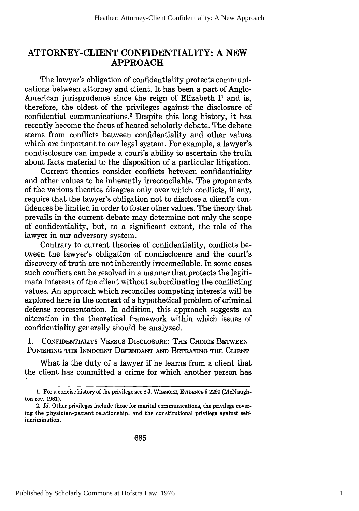# **ATTORNEY-CLIENT CONFIDENTIALITY: A NEW APPROACH**

The lawyer's obligation of confidentiality protects communications between attorney and client. It has been a part of Anglo-American jurisprudence since the reign of Elizabeth **11** and is, therefore, the oldest of the privileges against the disclosure of confidential communications.<sup>2</sup> Despite this long history, it has recently become the focus of heated scholarly debate. The debate stems from conflicts between confidentiality and other values which are important to our legal system. For example, a lawyer's nondisclosure can impede a court's ability to ascertain the truth about facts material to the disposition of a particular litigation.

Current theories consider conflicts between confidentiality and other values to be inherently irreconcilable. The proponents of the various theories disagree only over which conflicts, if any, require that the lawyer's obligation not to disclose a client's confidences be limited in order to foster other values. The theory that prevails in the current debate may determine not only the scope of confidentiality, but, to a significant extent, the role of the lawyer in our adversary system.

Contrary to current theories of confidentiality, conflicts between the lawyer's obligation of nondisclosure and the court's discovery of truth are not inherently irreconcilable. In some cases such conflicts can be resolved in a manner that protects the legitimate interests of the client without subordinating the conflicting values. An approach which reconciles competing interests will be explored here in the context of a hypothetical problem of criminal defense representation. In addition, this approach suggests an alteration in the theoretical framework within which issues of confidentiality generally should be analyzed.

**I. CONFIDENTIALITY** VERSUS **DISCLOSURE:** THE **CHOICE BETWEEN PUNISHING** THE **INNOCENT DEFENDANT AND** BETRAYING THE CLIENT

What is the duty of a lawyer if he learns from a client that the client has committed a crime for which another person has

<sup>1.</sup> For a concise history of the privilege see 8 J. WIGMORE, EVIDENCE  $\S 2290$  (McNaughton rev. 1961).

<sup>2.</sup> *Id.* Other privileges include those for marital communications, the privilege covering the physician-patient relationship, and the constitutional privilege against selfincrimination.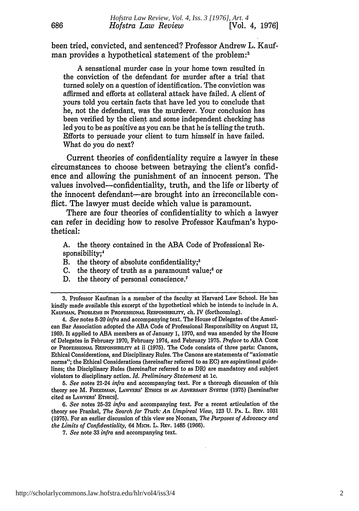been tried, convicted, and sentenced? Professor Andrew L. Kaufman provides a hypothetical statement of the problem:<sup>3</sup>

A sensational murder case in your home town resulted in the conviction of the defendant for murder after a trial that turned solely on a question of identification. The conviction was affirmed and efforts at collateral attack have failed. A client of yours told you certain facts that have led you to conclude that he, not the defendant, was the murderer. Your conclusion has been verified by the client and some independent checking has led you to be as positive as you can be that he is telling the truth. Efforts to persuade your client to turn himself in have failed. What do you do next?

Current theories of confidentiality require a lawyer in these circumstances to choose between betraying the client's confidence and allowing the punishment of an innocent person. The values involved-confidentiality, truth, and the life or liberty of the innocent defendant-are brought into an irreconcilable conflict. The lawyer must decide which value is paramount.

There are four theories of confidentiality to which a lawyer can refer in deciding how to resolve Professor Kaufman's hypothetical:

A. the theory contained in the ABA Code of Professional Responsibility;4

- B. the theory of absolute confidentiality;<sup>5</sup>
- C. the theory of truth as a paramount value;<sup>6</sup> or
- D. the theory of personal conscience.<sup>7</sup>

*4. See* notes 8-20 *infra* and accompanying text. The House of Delegates of the American Bar Association adopted the ABA Code of Professional Responsibility on August 12, **1969.** It applied to ABA members as of January **1,** 1970, and was amended by the House of Delegates in February **1970,** February 1974, and February **1975.** *Preface* to ABA **CODE OF PROFESSIONAL** REsPONSIBILITY at ii **(1975).** The Code consists of three parts: Canons, Ethical Considerations, and Disciplinary Rules. The Canons are statements of "axiomatic norms"; the Ethical Considerations (hereinafter referred to as **EC)** are aspirational guidelines; the Disciplinary Rules (hereinafter referred to as DR) are mandatory and subject violators to disciplinary action. *Id. Preliminary Statement* at **1c.**

*5. See* notes 21-24 *infra* and accompanying text. For a thorough discussion of this theory see M. **FREEDMAN, LAWYERS'** ETHicS **IN AN** ADVERSARY SYsTEM **(1975)** [hereinafter cited as LAWYERS' ETHIcS].

*6. See* notes **25-32** *infra* and accompanying text. For a recent articulation of the theory see Frankel, *The Search for Truth: An Umpireal View,* **123** U. PA. L. **REV.** 1031 **(1975).** For **an** earlier discussion of this view see Noonan, *The Purposes of Advocacy and the Limits of Confidentiality,* 64 **MICH.** L. REV. 1485 (1966).

*7. See* note **33** *infra* and accompanying text.

<sup>3.</sup> Professor Kaufman is a member of the faculty at Harvard Law School. He has kindly made available this excerpt of the hypothetical which he intends to include in A. KAUFMAN, PROBLEMS **IN** PROFESSIONAL **RESPONSIBILITY,** ch. IV (forthcoming).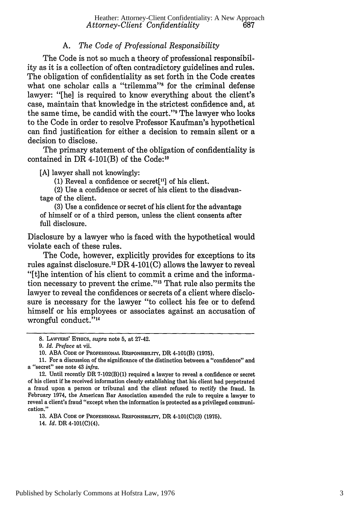# *A. The Code of Professional Responsibility*

The Code is not so much a theory of professional responsibility as it is a collection of often contradictory guidelines and rules. The obligation of confidentiality as set forth in the Code creates what one scholar calls a "trilemma"<sup>8</sup> for the criminal defense lawyer: "[he] is required to know everything about the client's case, maintain that knowledge in the strictest confidence and, at the same time, be candid with the court."9 The lawyer who looks to the Code in order to resolve Professor Kaufman's hypothetical can find justification for either a decision to remain silent or a decision to disclose.

The primary statement of the obligation of confidentiality is contained in DR 4-101(B) of the Code: $10$ 

[A] lawyer shall not knowingly:

(1) Reveal a confidence or secret<sup>[11]</sup> of his client.

(2) Use a confidence or secret of his client to the disadvantage of the client.

(3) Use a confidence or secret of his client for the advantage of himself or of a third person, unless the client consents after full disclosure.

Disclosure by a lawyer who is faced with the hypothetical would violate each of these rules.

The Code, however, explicitly provides for exceptions to its rules against disclosure.<sup>12</sup> DR 4-101(C) allows the lawyer to reveal "[t]he intention of his client to commit a crime and the information necessary to prevent the crime."<sup>13</sup> That rule also permits the lawyer to reveal the confidences or secrets of a client where disclosure is necessary for the lawyer "to collect his fee or to defend himself or his employees or associates against an accusation of wrongful conduct."'<sup>4</sup>

11. For a discussion of the significance of the distinction between a "confidence" and a "secret" see note 43 *infra.*

13. ABA **CODE** OF **PROFESSIONAL** RESPONSIBILITY, DR 4-101(C)(3) (1975).

14. *Id.* DR 4-101(C)(4).

<sup>8.</sup> LAWYERS' ETHICS, *supra* note 5, at 27-42.

<sup>9.</sup> *Id. Preface* at vii.

<sup>10.</sup> ABA **CODE** OF **PROFESSIONAL** RESPONSIBILITY, DR 4-101(B) **(1975).**

<sup>12.</sup> Until recently DR 7-102(B)(1) required a lawyer to reveal a confidence or secret of his client if he received information clearly establishing that his client had perpetrated a fraud upon a person or tribunal and the client refused to rectify the fraud. In February 1974, the American Bar Association amended the rule to require a lawyer to reveal a client's fraud "except when the information is protected as a privileged communication."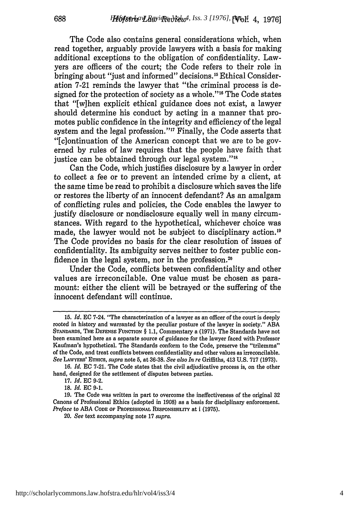The Code also contains general considerations which, when read together, arguably provide lawyers with a basis for making additional exceptions to the obligation of confidentiality. Lawyers are officers of the court; the Code refers to their role in bringing about "just and informed" decisions.<sup>15</sup> Ethical Consideration 7-21 reminds the lawyer that "the criminal process is designed for the protection of society as a whole.""6 The Code states that "[w]hen explicit ethical guidance does not exist, a lawyer should determine his conduct by acting in a manner that promotes public confidence in the integrity and efficiency of the legal system and the legal profession."<sup>17</sup> Finally, the Code asserts that "[c]ontinuation of the American concept that we are to be governed by rules of law requires that the people have faith that justice can be obtained through our legal system."<sup>18</sup>

Can the Code, which justifies disclosure by a lawyer in order to collect a fee or to prevent an intended crime by a client, at the same time be read to prohibit a disclosure which saves the life or restores the liberty of an innocent defendant? As an amalgam of conflicting rules and policies, the Code enables the lawyer to justify disclosure or nondisclosure equally well in many circumstances. With regard to the hypothetical, whichever choice was made, the lawyer would not be subject to disciplinary action.<sup>19</sup> The Code provides no basis for the clear resolution of issues of confidentiality. Its ambiguity serves neither to foster public confidence in the legal system, nor in the profession.<sup>20</sup>

Under the Code, conflicts between confidentiality and other values are irreconcilable. One value must be chosen as paramount: either the client will be betrayed or the suffering of the innocent defendant will continue.

*20, See* **text accompanying note 17** *supra.*

**<sup>15.</sup>** *Id.* **EC** 7-24. "The characterization of a lawyer as an officer of the court is deeply rooted in history and warranted by the peculiar posture of the lawyer in society." ABA **STANDARDS,** THE DEFENSE FUNCTION § **1.1,** Commentary a (1971). The Standards have not been examined here as a separate source of guidance for the lawyer faced with Professor Kaufman's hypothetical. The Standards conform to the Code, preserve the "trilemma" of the Code, and treat conflicts between confidentiality and other values as irreconcilable. *See* **LAWYERS'** ETHIcs, *supra* note **5,** at **36-38.** *See also In re* Griffiths, 413 **U.S. 717** (1973).

<sup>16.</sup> *Id.* **EC** 7-21. The Code states that the civil adjudicative process is, on the other hand, designed for the settlement of disputes between parties.

<sup>17.</sup> *Id.* **EC** 9-2.

**<sup>18.</sup>** *Id.* **EC** 9-1.

<sup>19.</sup> The Code was written in part to overcome the ineffectiveness of the original 32 Canons of Professional Ethics (adopted in **1908)** as a basis for disciplinary enforcement. *Preface* to **ABA CODE** OF **PROFESSIONAL RESPONSIBILITY at** i **(1975).**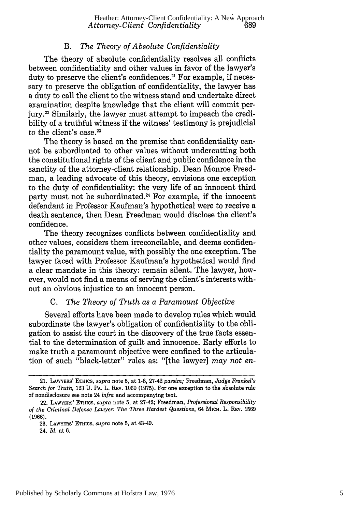# *B. The Theory of Absolute Confidentiality*

The theory of absolute confidentiality resolves all conflicts between confidentiality and other values in favor of the lawyer's duty to preserve the client's confidences.<sup>21</sup> For example, if necessary to preserve the obligation of confidentiality, the lawyer has a duty to call the client to the witness stand and undertake direct examination despite knowledge that the client will commit perjury.22 Similarly, the lawyer must attempt to impeach the credibility of a truthful witness if the witness' testimony is prejudicial to the client's case.<sup>23</sup>

The theory is based on the premise that confidentiality cannot be subordinated to other values without undercutting both the constitutional rights of the client and public confidence in the sanctity of the attorney-client relationship. Dean Monroe Freedman, a leading advocate of this theory, envisions one exception to the duty of confidentiality: the very life of an innocent third party must not be subordinated.<sup>24</sup> For example, if the innocent defendant in Professor Kaufman's hypothetical were to receive a death sentence, then Dean Freedman would disclose the client's confidence.

The theory recognizes conflicts between confidentiality and other values, considers them irreconcilable, and deems confidentiality the paramount value, with possibly the one exception. The lawyer faced with Professor Kaufman's hypothetical would find a clear mandate in this theory: remain silent. The lawyer, however, would not find a means of serving the client's interests without an obvious injustice to an innocent person.

#### *C. The Theory of Truth as a Paramount Objective*

Several efforts have been made to develop rules which would subordinate the lawyer's obligation of confidentiality to the obligation to assist the court in the discovery of the true facts essential to the determination of guilt and innocence. Early efforts to make truth a paramount objective were confined to the articulation of such "black-letter" rules as: "[the lawyer] *may not en-*

<sup>21.</sup> LAWYERS' ETHICS, *supra* note 5, at 1-8, 27-42 *passim;* Freedman, *Judge Frankel's Search for Truth,* 123 U. PA. L. REv. 1060 (1975). For one exception to the absolute rule of nondisclosure see note 24 *infra* and accompanying text.

<sup>22.</sup> LAWYERS' **ETHICS,** *supra* note 5, at 27-42; Freedman, *Professional Responsibility of the Criminal Defense Lawyer: The Three Hardest Questions,* 64 MICH. L. REV. 1569 (1966).

<sup>23.</sup> LAWYERS' ETHICS, *supra* note **5,** at 43-49.

<sup>24.</sup> *Id.* at 6.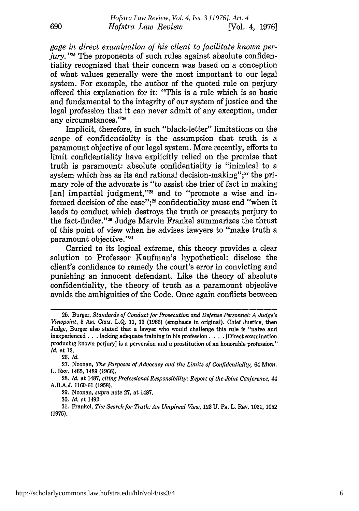*gage in direct examination of his client to facilitate known perjury.* "<sup>25</sup> The proponents of such rules against absolute confidentiality recognized that their concern was based on a conception of what values generally were the most important to our legal system. For example, the author of the quoted rule on perjury offered this explanation for it: "This is a rule which is so basic and fundamental to the integrity of our system of justice and the legal profession that it can never admit of any exception, under any circumstances."<sup>26</sup>

Implicit, therefore, in such "black-letter" limitations on the scope of confidentiality is the assumption that truth is a paramount objective of our legal system. More recently, efforts to limit confidentiality have explicitly relied on the premise that truth is paramount: absolute confidentiality is "inimical to a system which has as its end rational decision-making"; $27$  the primary role of the advocate is "to assist the trier of fact in making [an] impartial judgment,"<sup>28</sup> and to "promote a wise and informed decision of the case";<sup>29</sup> confidentiality must end "when it leads to conduct which destroys the truth or presents perjury to the fact-finder.""0 Judge Marvin Frankel summarizes the thrust of this point of view when he advises lawyers to "make truth a paramount objective."3

Carried to its logical extreme, this theory provides a clear solution to Professor Kaufman's hypothetical: disclose the client's confidence to remedy the court's error in convicting and punishing an innocent defendant. Like the theory of absolute confidentiality, the theory of truth as a paramount objective avoids the ambiguities of the Code. Once again conflicts between

**26.** *Id.*

**29.** Noonan, *supra* note **27,** at **1487.**

**30.** *Id.* at 1492.

**31.** Frankel, *The Search for Truth: An Umpireal View,* **123 U.** PA. L. REv. **1031, 1052 (1975).**

**<sup>25.</sup>** Burger, *Standards of Conduct for Prosecution and Defense Personnel: A Judge's Viewpoint,* **5** Am. CRIM. **L.Q.** 11, **13 (1966)** (emphasis in original). Chief Justice, then Judge, Burger also stated that a lawyer who would challenge this rule is "naive and inexperienced **...** lacking adequate training in his profession **....** [Direct examination producing known perjury] is a perversion and a prostitution of an honorable profession." *Id.* at 12.

**<sup>27.</sup>** Noonan, *The Purposes of Advocacy and the Limits of Confidentiality,* 64 MICH. L. **REV.** 1485, 1489 **(1966).**

**<sup>28.</sup>** *Id.* at **1487,** *citing Professional Responsibility: Report of the Joint Conference, 44* **A.B.A.J. 1160-61 (1958).**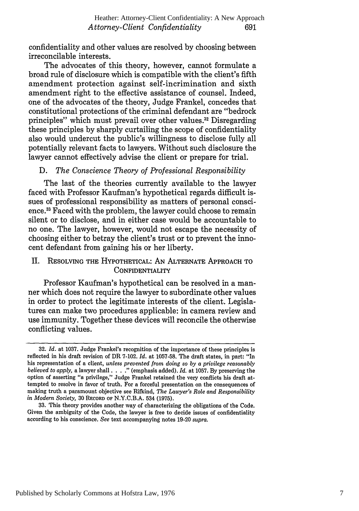confidentiality and other values are resolved by choosing between irreconcilable interests.

The advocates of this theory, however, cannot formulate a broad rule of disclosure which is compatible with the client's fifth amendment protection against self-incrimination and sixth amendment right to the effective assistance of counsel. Indeed, one of the advocates of the theory, Judge Frankel, concedes that constitutional protections of the criminal defendant are "bedrock principles" which must prevail over other values.<sup>32</sup> Disregarding these principles by sharply curtailing the scope of confidentiality also would undercut the public's willingness to disclose fully all potentially relevant facts to lawyers. Without such disclosure the lawyer cannot effectively advise the client or prepare for trial.

# D. *The Conscience Theory of Professional Responsibility*

The last of the theories currently available to the lawyer faced with Professor Kaufman's hypothetical regards difficult issues of professional responsibility as matters of personal conscience.3 Faced with the problem, the lawyer could choose to remain silent or to disclose, and in either case would be accountable to no one. The lawyer, however, would not escape the necessity of choosing either to betray the client's trust or to prevent the innocent defendant from gaining his or her liberty.

# II. RESOLVING THE HYPOTHETICAL: AN ALTERNATE APPROACH TO **CONFIDENTIALITY**

Professor Kaufman's hypothetical can be resolved in a manner which does not require the lawyer to subordinate other values in order to protect the legitimate interests of the client. Legislatures can make two procedures applicable: in camera review and use immunity. Together these devices will reconcile the otherwise conflicting values.

**<sup>32.</sup>** *Id.* at 1037. Judge Frankel's recognition of the importance of these principles is reflected in his draft revision of DR 7-102. *Id.* at 1057-58. The draft states, in part: "In his representation of a client, *unless prevented from doing so by a privilege reasonably believed to apply,* a lawyer shall **.... "** (emphasis added). *Id.* at 1057. By preserving the option of asserting "a privilege," Judge Frankel retained the very conflicts his draft attempted to resolve in favor of truth. For a forceful presentation on the consequences of making truth a paramount objective see Rifkind, *The Lawyer's Role and Responsibility in Modern Society,* 30 RECORD **OF** N.Y.C.B.A. 534 (1975).

<sup>33.</sup> This theory provides another way of characterizing the obligations of the Code. Given the ambiguity of the Code, the lawyer is free to decide issues of confidentiality according to his conscience. *See* text accompanying notes 19-20 *supra.*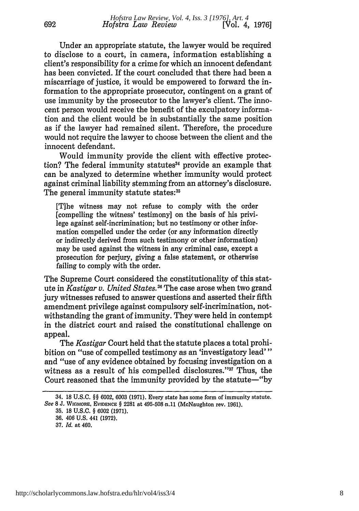Under an appropriate statute, the lawyer would be required to disclose to a court, in camera, information establishing a client's responsibility for a crime for which an innocent defendant has been convicted. If the court concluded that there had been a miscarriage of justice, it would be empowered to forward the information to the appropriate prosecutor, contingent on a grant of use immunity by the prosecutor to the lawyer's client. The innocent person would receive the benefit of the exculpatory information and the client would be in substantially the same position as if the lawyer had remained silent. Therefore, the procedure would not require the lawyer to choose between the client and the innocent defendant.

Would immunity provide the client with effective protection? The federal immunity statutes<sup>34</sup> provide an example that can be analyzed to determine whether immunity would protect against criminal liability stemming from an attorney's disclosure. The general immunity statute states:<sup>35</sup>

[T]he witness may not refuse to comply with the order [compelling the witness' testimony] on the basis of his privilege against self-incrimination; but no testimony or other information compelled under the order (or any information directly or indirectly derived from such testimony or other information) may be used against the witness in any criminal case, except a prosecution for perjury, giving a false statement, or otherwise failing to comply with the order.

The Supreme Court considered the constitutionality of this statute in *Kastigar v. United States.<sup>36</sup>* The case arose when two grand jury witnesses refused to answer questions and asserted their fifth amendment privilege against compulsory self-incrimination, notwithstanding the grant of immunity. They were held in contempt in the district court and raised the constitutional challenge on appeal.

The *Kastigar* Court held that the statute places a total prohibition on "use of compelled testimony as an 'investigatory lead'" and "use of any evidence obtained by focusing investigation on a witness as a result of his compelled disclosures."<sup>37</sup> Thus, the Court reasoned that the immunity provided by the statute-"by

<sup>34. 18</sup> **U.S.C.** *§§* 6002, 6003 (1971). Every state has some form of immunity statute. *See 8* **J. WICMORE, EvIDENCE** § 2281 at 495-508 n.11 (McNaughton rev. 1961).

**<sup>35.</sup>** 18 **U.S.C.** § 6002 (1971).

**<sup>36.</sup>** 406 U.S. 441 (1972).

<sup>37.</sup> *Id.* at 460.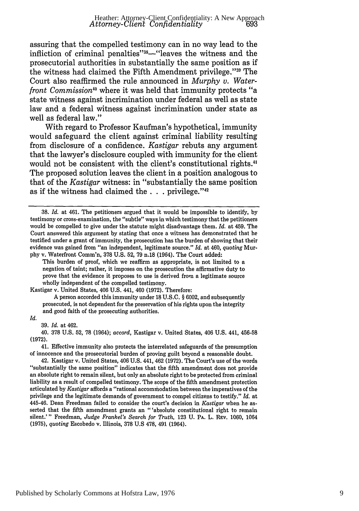assuring that the compelled testimony can in no way lead to the infliction of criminal penalties"<sup>38</sup>—"leaves the witness and the prosecutorial authorities in substantially the same position as if the witness had claimed the Fifth Amendment privilege."<sup>39</sup> The Court also reaffirmed the rule announced in *Murphy v. Waterfront Commission"°* where it was held that immunity protects "a state witness against incrimination under federal as well as state law and a federal witness against incrimination under state as well as federal law."

With regard to Professor Kaufman's hypothetical, immunity would safeguard the client against criminal liability resulting from disclosure of a confidence. *Kastigar* rebuts any argument that the lawyer's disclosure coupled with immunity for the client would not be consistent with the client's constitutional rights.<sup>41</sup> The proposed solution leaves the client in a position analogous to that of the *Kastigar* witness: in "substantially the same position as if the witness had claimed the . . . privilege."<sup>42</sup>

Kastigar v. United States, 406 U.S. 441, 460 (1972). Therefore:

A person accorded this immunity under 18 U.S.C. § 6002, and subsequently prosecuted, is not dependent for the preservation of his rights upon the integrity and good faith of the prosecuting authorities.

#### *Id.*

39. *Id.* at 462.

41. Effective immunity also protects the interrelated safeguards of the presumption of innocence and the prosecutorial burden of proving guilt beyond a reasonable doubt.

<sup>38.</sup> *Id.* at 461. The petitioners argued that it would be impossible to identify, by testimony or cross-examination, the "subtle" ways in which testimony that the petitioners would be compelled to give under the statute might disadvantage them. *Id.* at 459. The Court answered this argument by stating that once a witness has demonstrated that he testified under a grant of immunity, the prosecution has the burden of showing that their evidence was gained from "an independent, legitimate source." *Id.* at 460, *quoting* Murphy v. Waterfront Comm'n, 378 U.S. 52, 79 n.18 (1964). The Court added:

This burden of proof, which we reaffirm as appropriate, is not limited to a negation of taint; rather, it imposes on the prosecution the affirmative duty to prove that the evidence it proposes to use is derived from a legitimate source wholly independent of the compelled testimony.

<sup>40. 378</sup> U.S. 52, 78 (1964); *accord,* Kastigar v. United States, 406 U.S. 441, 456-58 (1972).

<sup>42.</sup> Kastigar v. United States, 406 U.S. 441, 462 (1972). The Court's use of the words "substantially the same position" indicates that the fifth amendment does not provide an absolute right to remain silent, but only an absolute right to be protected from criminal liability as a result of compelled testimony. The scope of the fifth amendment protection articulated by *Kastigar* affords a "rational accomrodation between the imperatives of the privilege and the legitimate demands of government to compel citizens to testify." *Id.* at 445-46. Dean Freedman failed to consider the court's decision in *Kastigar* when he asserted that the fifth amendment grants an "'absolute constitutional right to remain silent.'" Freedman, *Judge Frankel's Search for Truth,* 123 U. **PA.** L. REv. 1060, 1064 (1975), *quoting* Escobedo v. Illinois, 378 U.S 478, 491 (1964).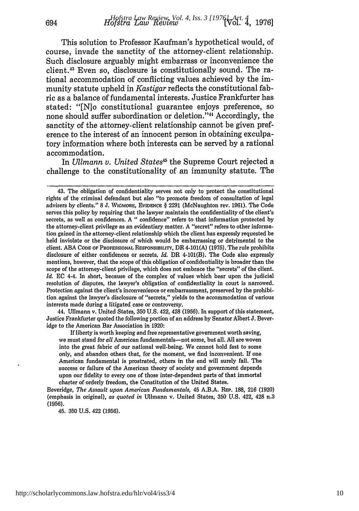This solution to Professor Kaufman's hypothetical would, of course, invade the sanctity of the attorney-client relationship. Such disclosure arguably might embarrass or inconvenience the client." Even so, disclosure is constitutionally sound. The rational accommodation of conflicting values achieved by the immunity statute upheld in *Kastigar* reflects the constitutional fabric as a balance of fundamental interests. Justice Frankfurter has stated: "[N]o constitutional guarantee enjoys preference, so none should suffer subordination or deletion."<sup>44</sup> Accordingly, the sanctity of the attorney-client relationship cannot be given preference to the interest of an innocent person in obtaining exculpatory information where both interests can be served by a rational accommodation.

In *Ullmann v. United States45* the Supreme Court rejected a challenge to the constitutionality of an immunity statute. The

44. Ullmann v. United States, **350 U.S.** 422, 428 **(1956).** In support of this statement, Justice Frankfurter quoted the following portion of an address **by** Senator Albert **J.** Beveridge to the American Bar Association in **1920:**

**If** liberty is worth keeping and free representative government worth saving, we must stand for *all* American fundamentals-not some, but all. All are woven into the great fabric of our national well-being. We cannot hold fast to some only, and abandon others that, for the moment, we find inconvenient. If one American fundamental is prostrated, others in the end will surely fall. The success or failure of the American theory of society and government depends upon our fidelity to every one of those inter-dependent parts of that immortal charter of orderly freedom, the Constitution of the United States.

Beveridge, *The Assault upon American Fundamentals,* 45 **A.B.A.** REP. 188, 216 (1920) (emphasis in original), *as quoted in* Ullmann v. United States, 350 U.S. 422, 428 n.3 (1956).

45. **350 U.S.** 422 **(1956).**

<sup>43.</sup> The obligation of confidentiality serves not only to protect the constitutional rights of the criminal defendant but also "to promote freedom of consultation of legal advisers **by** clients." **8 J.** WIGMORE, EVIDENCE § **2291** (McNaughton rev. **1961).** The Code serves this policy **by** requiring that the lawyer maintain the confidentiality of the client's secrets, as well as confidences. **A** " confidence" refers to that information protected **by** the attorney-client privilege as an evidentiary matter. **A** "secret" refers to other information gained in the attorney-client relationship which the client has expressly requested be held inviolate or the disclosure of which would be embarrassing or detrimental to the client. **ABA CODE OF PROFESSIONAL** RESPONSIBILITY, DR 4-101(A) **(1975).** The rule prohibits disclosure of either confidences or secrets. *Id.* DR 4-101(B). The Code also expressly mentions, however, that the scope of this obligation of confidentiality is broader than the scope of the attorney-client privilege, which does not embrace the "secrets" of the client. *Id.* **EC** 4-4. In short, because of the complex of values which bear upon the judicial resolution of disputes, the lawyer's obligation of confidentiality in court is narrowed. Protection against the client's inconvenience or embarrassment, preserved **by** the prohibition against the lawyer's disclosure of "secrets," yields to the accommodation of various interests made during a litigated case or controversy.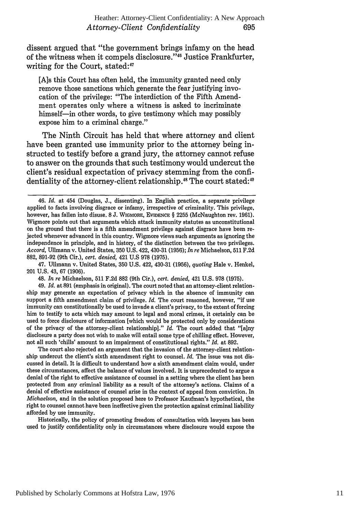dissent argued that "the government brings infamy on the head of the witness when it compels disclosure."<sup>46</sup> Justice Frankfurter, writing for the Court, stated:<sup>47</sup>

[A]s this Court has often held, the immunity granted need only remove those sanctions which generate the fear justifying invocation of the privilege: "The interdiction of the Fifth Amendment operates only where a witness is asked to incriminate himself-in other words, to give testimony which may possibly expose him to a criminal charge."

The Ninth Circuit has held that where attorney and client have been granted use immunity prior to the attorney being instructed to testify before a grand jury, the attorney cannot refuse to answer on the grounds that such testimony would undercut the client's residual expectation of privacy stemming from the confidentiality of the attorney-client relationship.<sup>48</sup> The court stated:<sup>49</sup>

47. Ullmann v. United States, 350 U.S. 422, 430-31 (1956), *quoting* Hale v. Henkel, 201 U.S. 43, 67 (1906).

48. *In re* Michaelson, 511 F.2d 882 (9th Cir.), *cert. denied,* 421 U.S. 978 (1975).

49. *Id.* at 891 (emphasis in original). The court noted that an attorney-client relationship may generate an expectation of privacy which in the absence of immunity can support a fifth amendment claim of privilege. *Id.* The court reasoned, however, "if use immunity can constitutionally be used to invade a client's privacy, to the extent of forcing him to testify to acts which may amount to legal and moral crimes, it certainly can be used to force disclosure of information [which would be protected only by considerations of the privacy of the attorney-client relationship]." *Id.* The court added that "[a]ny disclosure a party does not wish to make will entail some type of chilling effect. However, not all such 'chills' amount to an impairment of constitutional rights." *Id.* at 892.

The court also rejected an argument that the invasion of the attorney-client relationship undercut the client's sixth amendment right to counsel. *Id.* The issue was not discussed in detail. It is difficult to understand how a sixth amendment claim would, under these circumstances, affect the balance of values involved. It is unprecedented to argue a denial of the right to effective assistance of counsel in a setting where the client has been protected from any criminal liability as a result of the attorney's actions. Claims of a denial of effective assistance of counsel arise in the context of appeal from conviction. In *Michaelson,* and in the solution proposed here to Professor Kaufman's hypothetical, the right to counsel cannot have been ineffective given the protection against criminal liability afforded by use immunity.

Historically, the policy of promoting freedom of consultation with lawyers has been used to justify confidentiality only in circumstances where disclosure would expose the

<sup>46.</sup> *Id.* at 454 (Douglas, J., dissenting). In English practice, a separate privilege applied to facts involving disgrace or infamy, irrespective of criminality. This privilege, however, has fallen into disuse. **8** J. WIGMORE, EvIDENCE § 2255 (McNaughton rev. 1961). Wigmore points out that arguments which attack immunity statutes as unconstitutional on the ground that there is a fifth amendment privilege against disgrace have been rejected whenever advanced in this country. Wigmore views such arguments as ignoring the independence in principle, and in history, of the distinction between the two privileges. *Accord,* Ullmann v. United States, 350 U.S. 422, 430-31 (1956); *In re* Michaelson, 511 F.2d 882, 891-92 (9th Cir.), *cert. denied,* 421 U.S 978 (1975).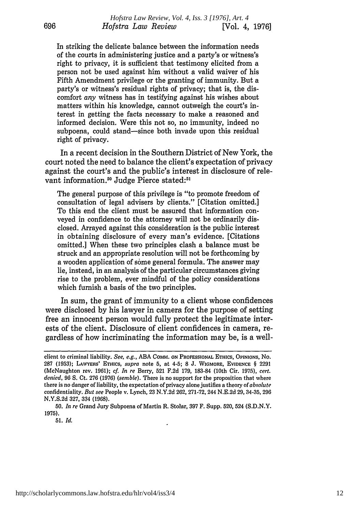In striking the delicate balance between the information needs of the courts in administering justice and a party's or witness's right to privacy, it is sufficient that testimony elicited from a person not be used against him without a valid waiver of his Fifth Amendment privilege or the granting of immunity. But a party's or witness's residual rights of privacy; that is, the discomfort *any* witness has in testifying against his wishes about matters within his knowledge, cannot outweigh the court's interest in getting the facts necessary to make a reasoned and informed decision. Were this not so, no immunity, indeed no subpoena, could stand-since both invade upon this residual right of privacy.

In a recent decision in the Southern District of New York, the court noted the need to balance the client's expectation of privacy against the court's and the public's interest in disclosure of relevant information.<sup>50</sup> Judge Pierce stated:<sup>51</sup>

The general purpose of this privilege is "to promote freedom of consultation of legal advisers by clients." [Citation omitted.] To this end the client must be assured that information conveyed in confidence to the attorney will not be ordinarily disclosed. Arrayed against this consideration is the public interest in obtaining disclosure of every man's evidence. [Citations omitted.] When these two principles clash a balance must be struck and an appropriate resolution will not be forthcoming by a wooden application of some general formula. The answer may lie, instead, in an analysis of the particular circumstances giving rise to the problem, ever mindful of the policy considerations which furnish a basis of the two principles.

In sum, the grant of immunity to a client whose confidences were disclosed by his lawyer in camera for the purpose of setting free an innocent person would fully protect the legitimate interests of the client. Disclosure of client confidences in camera, regardless of how incriminating the information may be, is a well-

client to criminal liability. *See, e.g.,* ABA CoMm. **ON PROFESSIONAL** ETHICS, **OPINIONS,** No. **287 (1953);** LAWYERS' **ETHICS,** *supra* note **5,** at 4-5; **8 J.** WIGMORE, **EVIDENCE** § 2291 (McNaughton rev. 1961); *cf. In re* Berry, 521 F.2d 179, 183-84 (10th Cir. 1975), *cert. denied,* 96 S. Ct. 276 (1976) *(semble).* There is no support for the proposition that where there is no danger of liability, the expectation of privacy alone justifies a theory of *absolute* confidentiality. *But see* People v. Lynch, 23 N.Y.2d 262, 271-72, 244 N.E.2d 29, 34-35, 296 N.Y.S.2d 327, 334 (1968).

<sup>50.</sup> *In re* Grand Jury Subpoena of Martin R. Stolar, 397 F. Supp. 520, 524 (S.D.N.Y. 1975).

**<sup>51.</sup>** *Id.*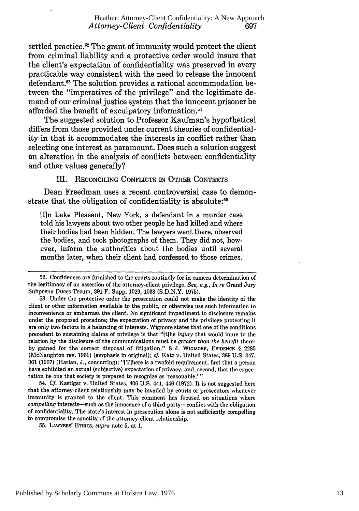settled practice.<sup>52</sup> The grant of immunity would protect the client from criminal liability and a protective order would insure that the client's expectation of confidentiality was preserved in every practicable way consistent with the need to release the innocent defendant.<sup>53</sup> The solution provides a rational accommodation between the "imperatives of the privilege" and the legitimate demand of our criminal justice system that the innocent prisoner be afforded the benefit of exculpatory information.<sup>54</sup>

The suggested solution to Professor Kaufman's hypothetical differs from those provided under current theories of confidentiality in that it accommodates the interests in conflict rather than selecting one interest as paramount. Does such a solution suggest an alteration in the analysis of conflicts between confidentiality and other values generally?

III. RECONCILING **CONFLICTS IN OTHER CONTEXTS**

Dean Freedman uses a recent controversial case to demonstrate that the obligation of confidentiality is absolute:<sup>55</sup>

[I]n Lake Pleasant, New York, a defendant in a murder case told his lawyers about two other people he had killed and where their bodies had been hidden. The lawyers went there, observed the bodies, and took photographs of them. They did not, however, inform the authorities about the bodies until several months later, when their client had confessed to those crimes.

52. Confidences are furnished to the courts routinely for in camera determination of the legitimacy of an assertion of the attorney-client privilege. *See, e.g., In re* Grand Jury Subpoena Duces Tecum, 391 F. Supp. 1029, 1033 (S.D.N.Y. 1975).

53. Under the protective order the prosecution could not make the identity of the client or other information available to the public, or otherwise use such information to inconvenience or embarrass the client. No significant impediment to disclosure remains under the proposed procedure; the expectation of privacy and the privilege protecting it are only two factors in a balancing of interests. Wigmore states that one of the conditions precedent to sustaining claims of privilege is that "[t]he *injury* that would inure to the relation **by** the disclosure of the communications must be *greater than the benefit* thereby gained for the correct disposal of litigation." 8 J. WIGMORE, EVIDENCE § 2285 (McNaughton rev. **1961)** (emphasis in original); cf. Katz v. United States, **389 U.S.** 347, **361 (1967)** (Harlan, **J.,** concurring): "[T]here is a twofold requirement, first that a person have exhibited an actual (subjective) expectation of privacy, and, second, that the expectation be one that society is prepared to recognize as 'reasonable.'"

54. *Cf.* Kastigar v. United States, 406 **U.S.** 441, 446 **(1972).** It is not suggested here that the attorney-client relationship may be invaded **by** courts or prosecutors whenever immunity is granted to the client. This comment has focused on situations where *compelling* interests-such as the innocence of a third party-conflict with the obligation of confidentiality. The state's interest in prosecution alone is not sufficiently compelling to compromise the sanctity of the attorney-client relationship.

**55.** LAWYERS' **ETHICS,** *supra* note **5,** at **1.**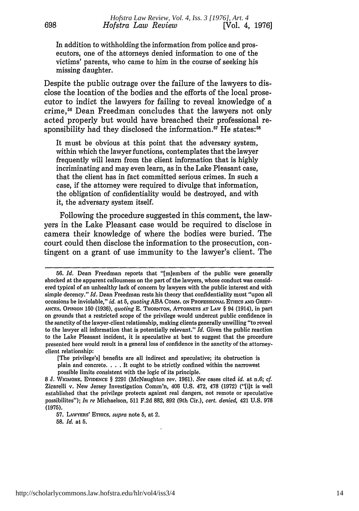In addition to withholding the information from police and prosecutors, one of the attorneys denied information to one of the victims' parents, who came to him in the course of seeking his missing daughter.

Despite the public outrage over the failure of the lawyers to disclose the location of the bodies and the efforts of the local prosecutor to indict the lawyers for failing to reveal knowledge of a crime,56 Dean Freedman concludes that the lawyers not only acted properly but would have breached their professional responsibility had they disclosed the information.<sup>57</sup> He states:<sup>58</sup>

It must be obvious at this point that the adversary system, within which the lawyer functions, contemplates that the lawyer frequently will learn from the client information that is highly incriminating and may even learn, as in the Lake Pleasant case, that the client has in fact committed serious crimes. In such a case, if the attorney were required to divulge that information, the obligation of confidentiality would be destroyed, and with it, the adversary system itself.

Following the procedure suggested in this comment, the lawyers in the Lake Pleasant case would be required to disclose in camera their knowledge of where the bodies were buried. The court could then disclose the information to the prosecution, contingent on a grant of use immunity to the lawyer's client. The

57. LAWYERS' **ETHICS,** *supra* note 5, **at** 2.

58. *Id.* at **5.**

*<sup>56.</sup> Id.* Dean Freedman reports that "[mIembers of the public were generally shocked at the apparent callousness on the part of the lawyers, whose conduct was considered typical of an unhealthy lack of concern by lawyers with the public interest and with simple decency." *Id.* Dean Freedman rests his theory that confidentiality must "upon all occasions be inviolable," *id.* at 5, *quoting* ABA CoMiM. ON PROFESSIONAL ETHICS **AND** GRIEV-**ANCES, OPINION** 150 (1936), *quoting* E. THORNTON, ATTORNEYS **AT LAW** § 94 (1914), in part on grounds that a restricted scope of the privilege would undercut public confidence in the sanctity of the lawyer-client relationship, making clients generally unwilling "to reveal to the lawyer all information that is potentially relevant." *Id.* Given the public reaction to the Lake Pleasant incident, it is speculative at best to suggest that the procedure presented here would result in a general loss of confidence in the sanctity of the attorneyclient relationship:

<sup>[</sup>The privilege's] benefits are all indirect and speculative; its obstruction is plain and concrete. . . . It ought to be strictly confined within the narrowest possible limits consistent with the logic of its principle.

<sup>8</sup> J. **WiGMORE,** EVIDENCE § 2291 (McNaughton rev. 1961). *See* cases cited *id.* at n.6; *cf.* Zicarelli v. New Jersey Investigation Comm'n, 406 U.S. 472, 478 (1972) ("[i]t is well established that the privilege protects against real dangers, not remote or speculative possibilites"); *In re* Michaelson, **511** F.2d 882, 892 (9th Cir.), *cert. denied,* 421 U.S. 978 **(1975).**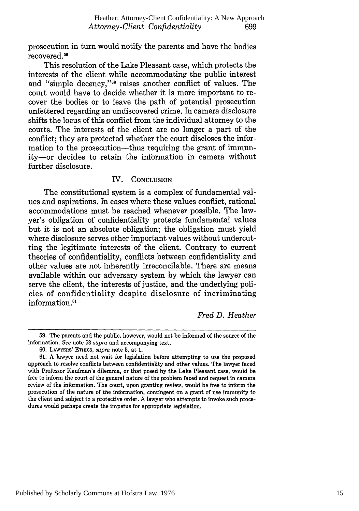prosecution in turn would notify the parents and have the bodies recovered.<sup>59</sup>

This resolution of the Lake Pleasant case, which protects the interests of the client while accommodating the public interest and "simple decency,"<sup>60</sup> raises another conflict of values. The court would have to decide whether it is more important to recover the bodies or to leave the path of potential prosecution unfettered regarding an undiscovered crime. In camera disclosure shifts the locus of this conflict from the individual attorney to the courts. The interests of the client are no longer a part of the conflict; they are protected whether the court discloses the information to the prosecution--thus requiring the grant of immunity-or decides to retain the information in camera without further disclosure.

#### IV. **CONCLUSION**

The constitutional system is a complex of fundamental values and aspirations. In cases where these values conflict, rational accommodations must be reached whenever possible. The lawyer's obligation of confidentiality protects fundamental values but it is not an absolute obligation; the obligation must yield where disclosure serves other important values without undercutting the legitimate interests of the client. Contrary to current theories of confidentiality, conflicts between confidentiality and other values are not inherently irreconcilable. There are means available within our adversary system by which the lawyer can serve the client, the interests of justice, and the underlying policies of confidentiality despite disclosure of incriminating information.<sup>61</sup>

*Fred D. Heather*

<sup>59.</sup> The parents and the public, however, would not be informed of the source of the information. *See* note **53** *supra* and accompanying text.

<sup>60.</sup> LAWYERS' ETmics, *supra* note 5, at 1.

<sup>61.</sup> A lawyer need not wait for legislation before attempting to use the proposed approach to resolve conflicts between confidentiality and other values. The lawyer faced with Professor Kaufman's dilemma, or that posed by the Lake Pleasant case, would be free to inform the court of the general nature of the problem faced and request in camera review of the information. The court, upon granting review, would be free to inform the prosecution of the nature of the information, contingent on a grant of use immunity to the client and subject to a protective order. A lawyer who attempts to invoke such procedures would perhaps create the impetus for appropriate legislation.